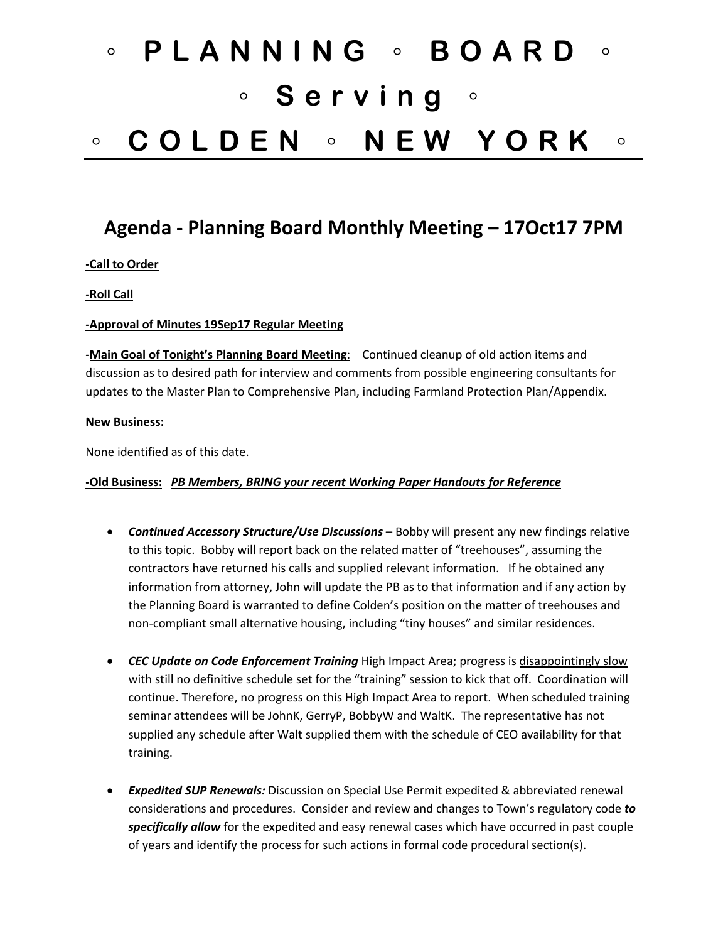# ◦ **PLANNING** ◦ **BOARD** ◦ ◦ **Serving** ◦ ◦ **COLDEN** ◦ **NEW YORK** ◦

## **Agenda - Planning Board Monthly Meeting – 17Oct17 7PM**

#### **-Call to Order**

#### **-Roll Call**

#### **-Approval of Minutes 19Sep17 Regular Meeting**

**-Main Goal of Tonight's Planning Board Meeting**: Continued cleanup of old action items and discussion as to desired path for interview and comments from possible engineering consultants for updates to the Master Plan to Comprehensive Plan, including Farmland Protection Plan/Appendix.

#### **New Business:**

None identified as of this date.

#### **-Old Business:** *PB Members, BRING your recent Working Paper Handouts for Reference*

- *Continued Accessory Structure/Use Discussions* Bobby will present any new findings relative to this topic. Bobby will report back on the related matter of "treehouses", assuming the contractors have returned his calls and supplied relevant information. If he obtained any information from attorney, John will update the PB as to that information and if any action by the Planning Board is warranted to define Colden's position on the matter of treehouses and non-compliant small alternative housing, including "tiny houses" and similar residences.
- *CEC Update on Code Enforcement Training* High Impact Area; progress is disappointingly slow with still no definitive schedule set for the "training" session to kick that off. Coordination will continue. Therefore, no progress on this High Impact Area to report. When scheduled training seminar attendees will be JohnK, GerryP, BobbyW and WaltK. The representative has not supplied any schedule after Walt supplied them with the schedule of CEO availability for that training.
- *Expedited SUP Renewals:* Discussion on Special Use Permit expedited & abbreviated renewal considerations and procedures. Consider and review and changes to Town's regulatory code *to specifically allow* for the expedited and easy renewal cases which have occurred in past couple of years and identify the process for such actions in formal code procedural section(s).